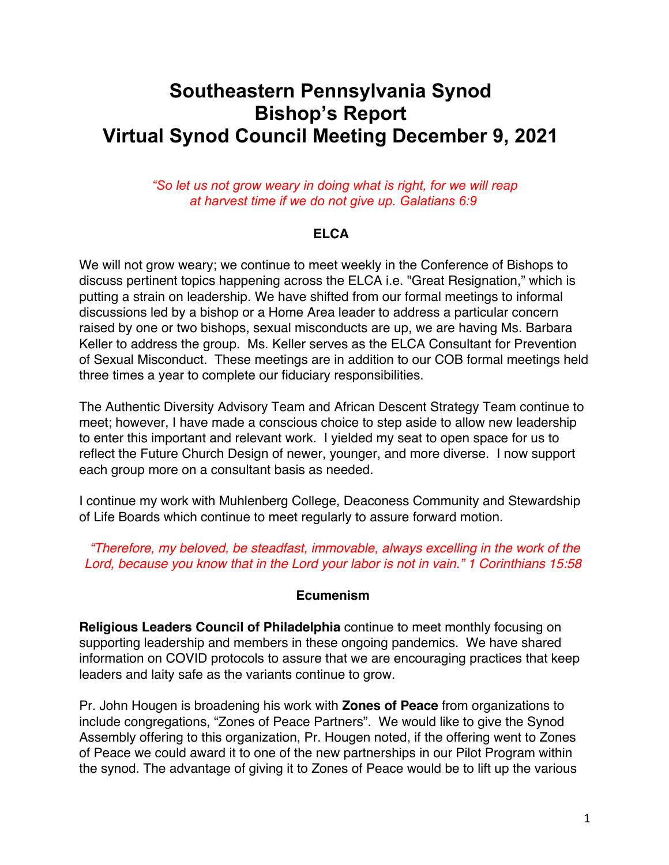# **Southeastern Pennsylvania Synod Bishop's Report Virtual Synod Council Meeting December 9, 2021**

*"So let us not grow weary in doing what is right, for we will reap at harvest time if we do not give up. Galatians 6:9*

#### **ELCA**

We will not grow weary; we continue to meet weekly in the Conference of Bishops to discuss pertinent topics happening across the ELCA i.e. "Great Resignation," which is putting a strain on leadership. We have shifted from our formal meetings to informal discussions led by a bishop or a Home Area leader to address a particular concern raised by one or two bishops, sexual misconducts are up, we are having Ms. Barbara Keller to address the group. Ms. Keller serves as the ELCA Consultant for Prevention of Sexual Misconduct. These meetings are in addition to our COB formal meetings held three times a year to complete our fiduciary responsibilities.

The Authentic Diversity Advisory Team and African Descent Strategy Team continue to meet; however, I have made a conscious choice to step aside to allow new leadership to enter this important and relevant work. I yielded my seat to open space for us to reflect the Future Church Design of newer, younger, and more diverse. I now support each group more on a consultant basis as needed.

I continue my work with Muhlenberg College, Deaconess Community and Stewardship of Life Boards which continue to meet regularly to assure forward motion.

*"Therefore, my beloved, be steadfast, immovable, always excelling in the work of the Lord, because you know that in the Lord your labor is not in vain." 1 Corinthians 15:58*

#### **Ecumenism**

**Religious Leaders Council of Philadelphia** continue to meet monthly focusing on supporting leadership and members in these ongoing pandemics. We have shared information on COVID protocols to assure that we are encouraging practices that keep leaders and laity safe as the variants continue to grow.

Pr. John Hougen is broadening his work with **Zones of Peace** from organizations to include congregations, "Zones of Peace Partners". We would like to give the Synod Assembly offering to this organization, Pr. Hougen noted, if the offering went to Zones of Peace we could award it to one of the new partnerships in our Pilot Program within the synod. The advantage of giving it to Zones of Peace would be to lift up the various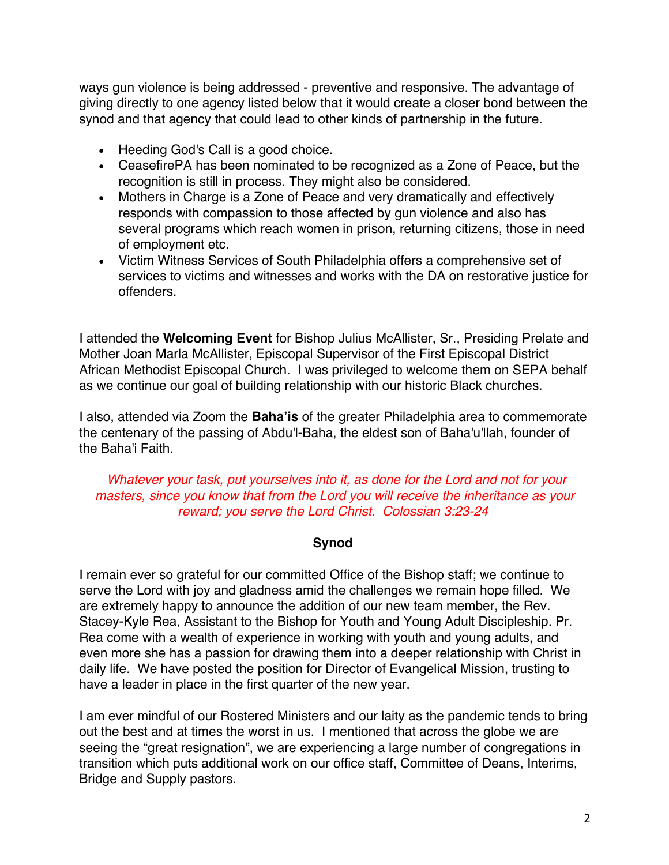ways gun violence is being addressed - preventive and responsive. The advantage of giving directly to one agency listed below that it would create a closer bond between the synod and that agency that could lead to other kinds of partnership in the future.

- Heeding God's Call is a good choice.
- CeasefirePA has been nominated to be recognized as a Zone of Peace, but the recognition is still in process. They might also be considered.
- Mothers in Charge is a Zone of Peace and very dramatically and effectively responds with compassion to those affected by gun violence and also has several programs which reach women in prison, returning citizens, those in need of employment etc.
- Victim Witness Services of South Philadelphia offers a comprehensive set of services to victims and witnesses and works with the DA on restorative justice for offenders.

I attended the **Welcoming Event** for Bishop Julius McAllister, Sr., Presiding Prelate and Mother Joan Marla McAllister, Episcopal Supervisor of the First Episcopal District African Methodist Episcopal Church. I was privileged to welcome them on SEPA behalf as we continue our goal of building relationship with our historic Black churches.

I also, attended via Zoom the **Baha'is** of the greater Philadelphia area to commemorate the centenary of the passing of Abdu'l-Baha, the eldest son of Baha'u'llah, founder of the Baha'i Faith.

#### *Whatever your task, put yourselves into it, as done for the Lord and not for your masters, since you know that from the Lord you will receive the inheritance as your reward; you serve the Lord Christ. Colossian 3:23-24*

#### **Synod**

I remain ever so grateful for our committed Office of the Bishop staff; we continue to serve the Lord with joy and gladness amid the challenges we remain hope filled. We are extremely happy to announce the addition of our new team member, the Rev. Stacey-Kyle Rea, Assistant to the Bishop for Youth and Young Adult Discipleship. Pr. Rea come with a wealth of experience in working with youth and young adults, and even more she has a passion for drawing them into a deeper relationship with Christ in daily life. We have posted the position for Director of Evangelical Mission, trusting to have a leader in place in the first quarter of the new year.

I am ever mindful of our Rostered Ministers and our laity as the pandemic tends to bring out the best and at times the worst in us. I mentioned that across the globe we are seeing the "great resignation", we are experiencing a large number of congregations in transition which puts additional work on our office staff, Committee of Deans, Interims, Bridge and Supply pastors.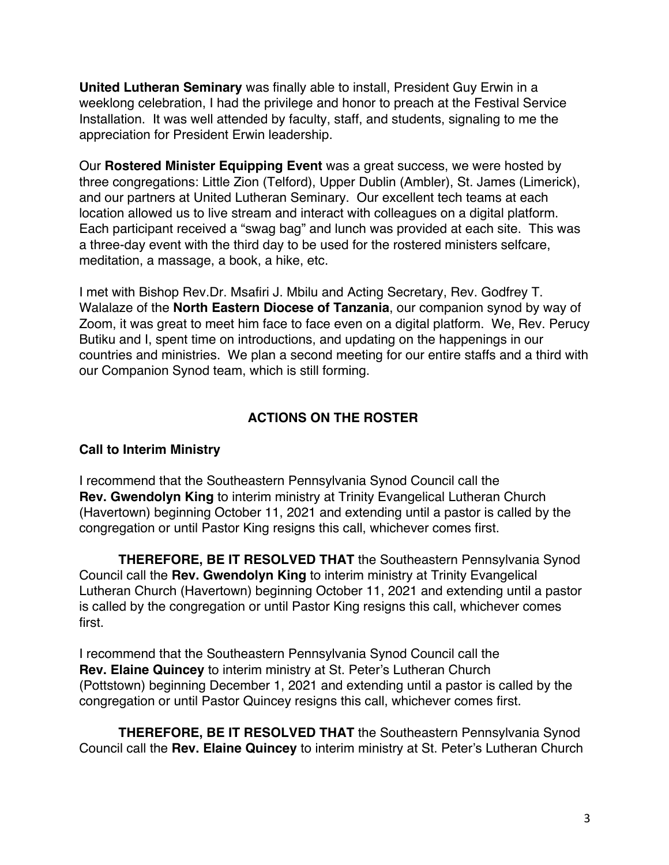**United Lutheran Seminary** was finally able to install, President Guy Erwin in a weeklong celebration, I had the privilege and honor to preach at the Festival Service Installation. It was well attended by faculty, staff, and students, signaling to me the appreciation for President Erwin leadership.

Our **Rostered Minister Equipping Event** was a great success, we were hosted by three congregations: Little Zion (Telford), Upper Dublin (Ambler), St. James (Limerick), and our partners at United Lutheran Seminary. Our excellent tech teams at each location allowed us to live stream and interact with colleagues on a digital platform. Each participant received a "swag bag" and lunch was provided at each site. This was a three-day event with the third day to be used for the rostered ministers selfcare, meditation, a massage, a book, a hike, etc.

I met with Bishop Rev.Dr. Msafiri J. Mbilu and Acting Secretary, Rev. Godfrey T. Walalaze of the **North Eastern Diocese of Tanzania**, our companion synod by way of Zoom, it was great to meet him face to face even on a digital platform. We, Rev. Perucy Butiku and I, spent time on introductions, and updating on the happenings in our countries and ministries. We plan a second meeting for our entire staffs and a third with our Companion Synod team, which is still forming.

#### **ACTIONS ON THE ROSTER**

#### **Call to Interim Ministry**

I recommend that the Southeastern Pennsylvania Synod Council call the **Rev. Gwendolyn King** to interim ministry at Trinity Evangelical Lutheran Church (Havertown) beginning October 11, 2021 and extending until a pastor is called by the congregation or until Pastor King resigns this call, whichever comes first.

**THEREFORE, BE IT RESOLVED THAT** the Southeastern Pennsylvania Synod Council call the **Rev. Gwendolyn King** to interim ministry at Trinity Evangelical Lutheran Church (Havertown) beginning October 11, 2021 and extending until a pastor is called by the congregation or until Pastor King resigns this call, whichever comes first.

I recommend that the Southeastern Pennsylvania Synod Council call the **Rev. Elaine Quincey** to interim ministry at St. Peter's Lutheran Church (Pottstown) beginning December 1, 2021 and extending until a pastor is called by the congregation or until Pastor Quincey resigns this call, whichever comes first.

**THEREFORE, BE IT RESOLVED THAT** the Southeastern Pennsylvania Synod Council call the **Rev. Elaine Quincey** to interim ministry at St. Peter's Lutheran Church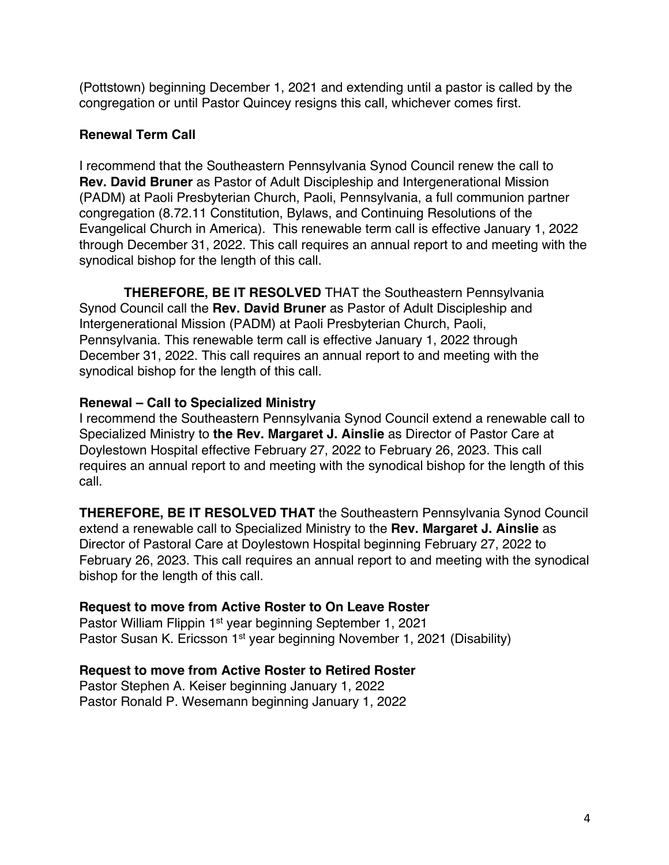(Pottstown) beginning December 1, 2021 and extending until a pastor is called by the congregation or until Pastor Quincey resigns this call, whichever comes first.

### **Renewal Term Call**

I recommend that the Southeastern Pennsylvania Synod Council renew the call to **Rev. David Bruner** as Pastor of Adult Discipleship and Intergenerational Mission (PADM) at Paoli Presbyterian Church, Paoli, Pennsylvania, a full communion partner congregation (8.72.11 Constitution, Bylaws, and Continuing Resolutions of the Evangelical Church in America). This renewable term call is effective January 1, 2022 through December 31, 2022. This call requires an annual report to and meeting with the synodical bishop for the length of this call.

**THEREFORE, BE IT RESOLVED** THAT the Southeastern Pennsylvania Synod Council call the **Rev. David Bruner** as Pastor of Adult Discipleship and Intergenerational Mission (PADM) at Paoli Presbyterian Church, Paoli, Pennsylvania. This renewable term call is effective January 1, 2022 through December 31, 2022. This call requires an annual report to and meeting with the synodical bishop for the length of this call.

#### **Renewal – Call to Specialized Ministry**

I recommend the Southeastern Pennsylvania Synod Council extend a renewable call to Specialized Ministry to **the Rev. Margaret J. Ainslie** as Director of Pastor Care at Doylestown Hospital effective February 27, 2022 to February 26, 2023. This call requires an annual report to and meeting with the synodical bishop for the length of this call.

**THEREFORE, BE IT RESOLVED THAT** the Southeastern Pennsylvania Synod Council extend a renewable call to Specialized Ministry to the **Rev. Margaret J. Ainslie** as Director of Pastoral Care at Doylestown Hospital beginning February 27, 2022 to February 26, 2023. This call requires an annual report to and meeting with the synodical bishop for the length of this call.

# **Request to move from Active Roster to On Leave Roster**

Pastor William Flippin 1st year beginning September 1, 2021 Pastor Susan K. Ericsson 1st year beginning November 1, 2021 (Disability)

# **Request to move from Active Roster to Retired Roster**

Pastor Stephen A. Keiser beginning January 1, 2022 Pastor Ronald P. Wesemann beginning January 1, 2022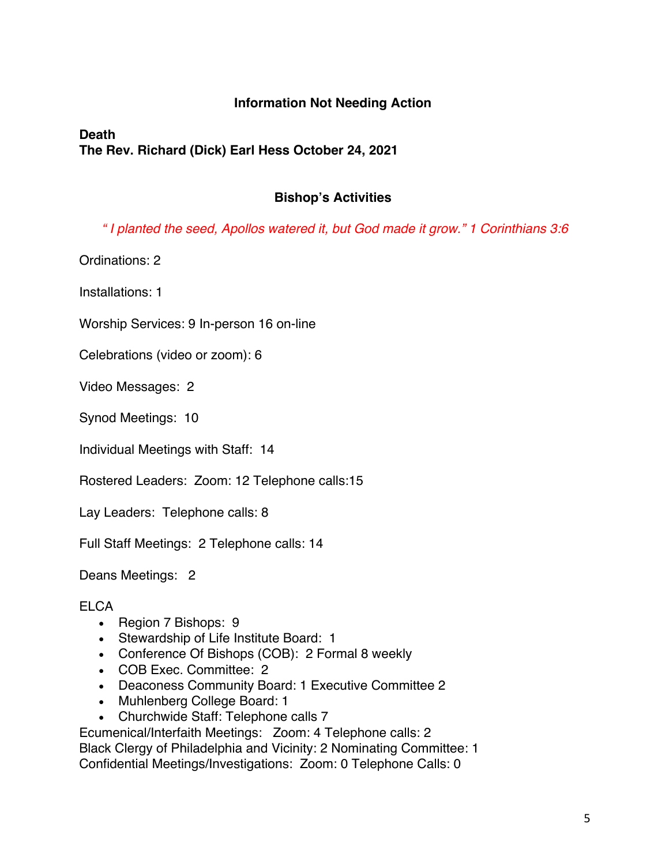#### **Information Not Needing Action**

# **Death The Rev. Richard (Dick) Earl Hess October 24, 2021**

#### **Bishop's Activities**

*" I planted the seed, Apollos watered it, but God made it grow." 1 Corinthians 3:6*

Ordinations: 2

Installations: 1

Worship Services: 9 In-person 16 on-line

Celebrations (video or zoom): 6

Video Messages: 2

Synod Meetings: 10

Individual Meetings with Staff: 14

Rostered Leaders: Zoom: 12 Telephone calls:15

Lay Leaders: Telephone calls: 8

Full Staff Meetings: 2 Telephone calls: 14

Deans Meetings: 2

#### **ELCA**

- Region 7 Bishops: 9
- Stewardship of Life Institute Board: 1
- Conference Of Bishops (COB): 2 Formal 8 weekly
- COB Exec. Committee: 2
- Deaconess Community Board: 1 Executive Committee 2
- Muhlenberg College Board: 1
- Churchwide Staff: Telephone calls 7

Ecumenical/Interfaith Meetings: Zoom: 4 Telephone calls: 2 Black Clergy of Philadelphia and Vicinity: 2 Nominating Committee: 1 Confidential Meetings/Investigations: Zoom: 0 Telephone Calls: 0